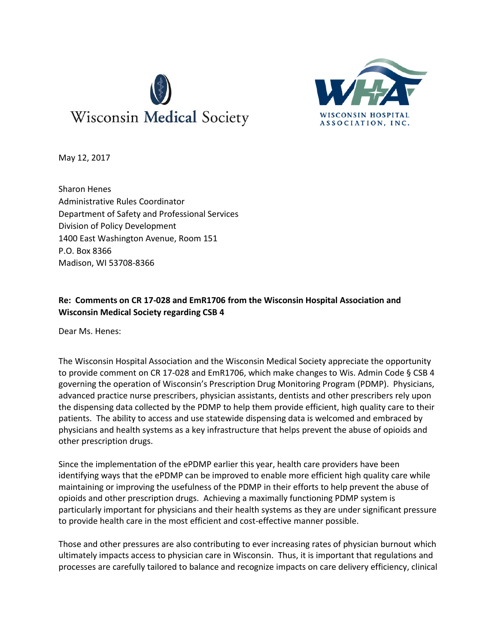



May 12, 2017

Sharon Henes Administrative Rules Coordinator Department of Safety and Professional Services Division of Policy Development 1400 East Washington Avenue, Room 151 P.O. Box 8366 Madison, WI 53708-8366

# **Re: Comments on CR 17-028 and EmR1706 from the Wisconsin Hospital Association and Wisconsin Medical Society regarding CSB 4**

Dear Ms. Henes:

The Wisconsin Hospital Association and the Wisconsin Medical Society appreciate the opportunity to provide comment on CR 17-028 and EmR1706, which make changes to Wis. Admin Code § CSB 4 governing the operation of Wisconsin's Prescription Drug Monitoring Program (PDMP). Physicians, advanced practice nurse prescribers, physician assistants, dentists and other prescribers rely upon the dispensing data collected by the PDMP to help them provide efficient, high quality care to their patients. The ability to access and use statewide dispensing data is welcomed and embraced by physicians and health systems as a key infrastructure that helps prevent the abuse of opioids and other prescription drugs.

Since the implementation of the ePDMP earlier this year, health care providers have been identifying ways that the ePDMP can be improved to enable more efficient high quality care while maintaining or improving the usefulness of the PDMP in their efforts to help prevent the abuse of opioids and other prescription drugs. Achieving a maximally functioning PDMP system is particularly important for physicians and their health systems as they are under significant pressure to provide health care in the most efficient and cost-effective manner possible.

Those and other pressures are also contributing to ever increasing rates of physician burnout which ultimately impacts access to physician care in Wisconsin. Thus, it is important that regulations and processes are carefully tailored to balance and recognize impacts on care delivery efficiency, clinical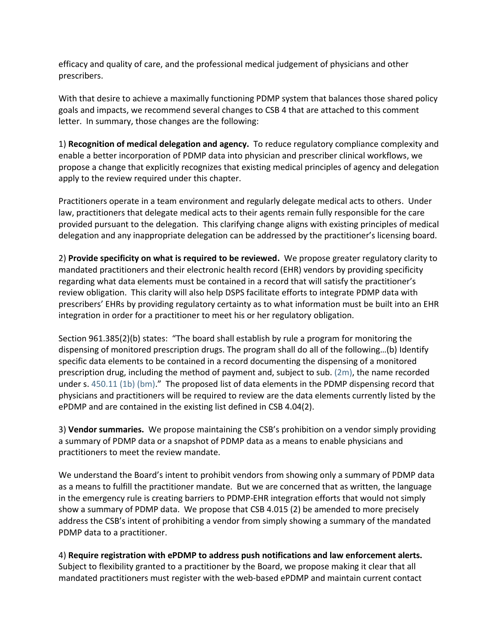efficacy and quality of care, and the professional medical judgement of physicians and other prescribers.

With that desire to achieve a maximally functioning PDMP system that balances those shared policy goals and impacts, we recommend several changes to CSB 4 that are attached to this comment letter. In summary, those changes are the following:

1) **Recognition of medical delegation and agency.** To reduce regulatory compliance complexity and enable a better incorporation of PDMP data into physician and prescriber clinical workflows, we propose a change that explicitly recognizes that existing medical principles of agency and delegation apply to the review required under this chapter.

Practitioners operate in a team environment and regularly delegate medical acts to others. Under law, practitioners that delegate medical acts to their agents remain fully responsible for the care provided pursuant to the delegation. This clarifying change aligns with existing principles of medical delegation and any inappropriate delegation can be addressed by the practitioner's licensing board.

2) **Provide specificity on what is required to be reviewed.** We propose greater regulatory clarity to mandated practitioners and their electronic health record (EHR) vendors by providing specificity regarding what data elements must be contained in a record that will satisfy the practitioner's review obligation. This clarity will also help DSPS facilitate efforts to integrate PDMP data with prescribers' EHRs by providing regulatory certainty as to what information must be built into an EHR integration in order for a practitioner to meet his or her regulatory obligation.

Section 961.385(2)(b) states: "The board shall establish by rule a program for monitoring the dispensing of monitored prescription drugs. The program shall do all of the following…(b) Identify specific data elements to be contained in a record documenting the dispensing of a monitored prescription drug, including the method of payment and, subject to sub. [\(2m\),](https://docs.legis.wisconsin.gov/document/statutes/961.385(2m)) the name recorded under s. [450.11 \(1b\) \(bm\).](https://docs.legis.wisconsin.gov/document/statutes/450.11(1b)(bm))" The proposed list of data elements in the PDMP dispensing record that physicians and practitioners will be required to review are the data elements currently listed by the ePDMP and are contained in the existing list defined in CSB 4.04(2).

3) **Vendor summaries.** We propose maintaining the CSB's prohibition on a vendor simply providing a summary of PDMP data or a snapshot of PDMP data as a means to enable physicians and practitioners to meet the review mandate.

We understand the Board's intent to prohibit vendors from showing only a summary of PDMP data as a means to fulfill the practitioner mandate. But we are concerned that as written, the language in the emergency rule is creating barriers to PDMP-EHR integration efforts that would not simply show a summary of PDMP data. We propose that CSB 4.015 (2) be amended to more precisely address the CSB's intent of prohibiting a vendor from simply showing a summary of the mandated PDMP data to a practitioner.

### 4) **Require registration with ePDMP to address push notifications and law enforcement alerts.**

Subject to flexibility granted to a practitioner by the Board, we propose making it clear that all mandated practitioners must register with the web-based ePDMP and maintain current contact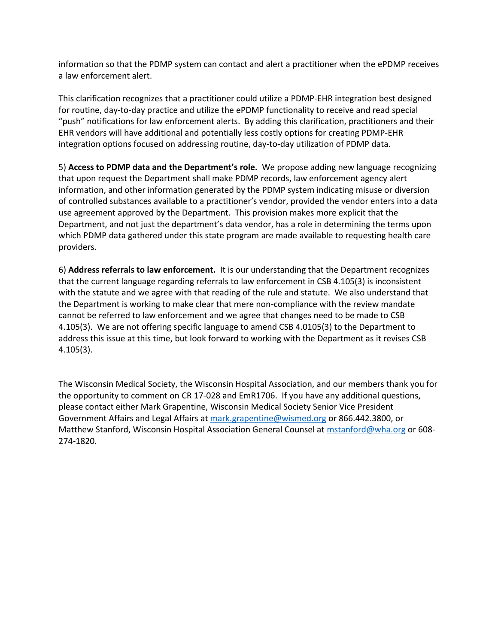information so that the PDMP system can contact and alert a practitioner when the ePDMP receives a law enforcement alert.

This clarification recognizes that a practitioner could utilize a PDMP-EHR integration best designed for routine, day-to-day practice and utilize the ePDMP functionality to receive and read special "push" notifications for law enforcement alerts. By adding this clarification, practitioners and their EHR vendors will have additional and potentially less costly options for creating PDMP-EHR integration options focused on addressing routine, day-to-day utilization of PDMP data.

5) **Access to PDMP data and the Department's role.** We propose adding new language recognizing that upon request the Department shall make PDMP records, law enforcement agency alert information, and other information generated by the PDMP system indicating misuse or diversion of controlled substances available to a practitioner's vendor, provided the vendor enters into a data use agreement approved by the Department. This provision makes more explicit that the Department, and not just the department's data vendor, has a role in determining the terms upon which PDMP data gathered under this state program are made available to requesting health care providers.

6) **Address referrals to law enforcement.** It is our understanding that the Department recognizes that the current language regarding referrals to law enforcement in CSB 4.105(3) is inconsistent with the statute and we agree with that reading of the rule and statute. We also understand that the Department is working to make clear that mere non-compliance with the review mandate cannot be referred to law enforcement and we agree that changes need to be made to CSB 4.105(3). We are not offering specific language to amend CSB 4.0105(3) to the Department to address this issue at this time, but look forward to working with the Department as it revises CSB 4.105(3).

The Wisconsin Medical Society, the Wisconsin Hospital Association, and our members thank you for the opportunity to comment on CR 17-028 and EmR1706. If you have any additional questions, please contact either Mark Grapentine, Wisconsin Medical Society Senior Vice President Government Affairs and Legal Affairs at [mark.grapentine@wismed.org](mailto:mark.grapentine@wismed.org) or 866.442.3800, or Matthew Stanford, Wisconsin Hospital Association General Counsel a[t mstanford@wha.org](mailto:mstanford@wha.org) or 608- 274-1820.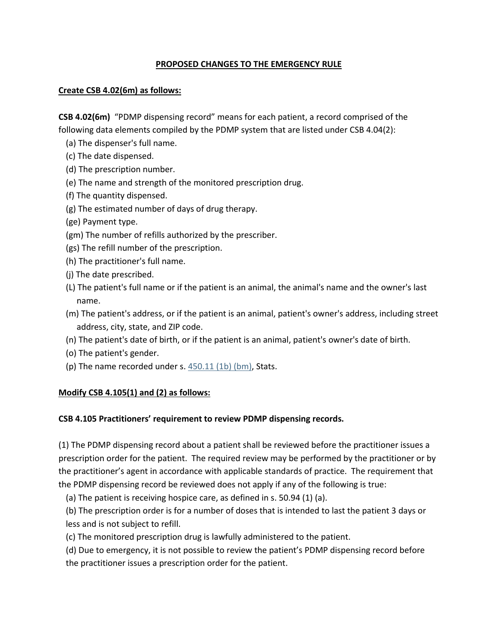### **PROPOSED CHANGES TO THE EMERGENCY RULE**

### **Create CSB 4.02(6m) as follows:**

**CSB 4.02(6m)** "PDMP dispensing record" means for each patient, a record comprised of the following data elements compiled by the PDMP system that are listed under CSB 4.04(2):

- (a) The dispenser's full name.
- (c) The date dispensed.
- (d) The prescription number.
- (e) The name and strength of the monitored prescription drug.
- (f) The quantity dispensed.
- (g) The estimated number of days of drug therapy.
- (ge) Payment type.
- (gm) The number of refills authorized by the prescriber.
- (gs) The refill number of the prescription.
- (h) The practitioner's full name.
- (j) The date prescribed.
- (L) The patient's full name or if the patient is an animal, the animal's name and the owner's last name.
- (m) The patient's address, or if the patient is an animal, patient's owner's address, including street address, city, state, and ZIP code.
- (n) The patient's date of birth, or if the patient is an animal, patient's owner's date of birth.
- (o) The patient's gender.
- (p) The name recorded under s.  $450.11$  (1b) (bm), Stats.

## **Modify CSB 4.105(1) and (2) as follows:**

## **CSB 4.105 Practitioners' requirement to review PDMP dispensing records.**

(1) The PDMP dispensing record about a patient shall be reviewed before the practitioner issues a prescription order for the patient. The required review may be performed by the practitioner or by the practitioner's agent in accordance with applicable standards of practice. The requirement that the PDMP dispensing record be reviewed does not apply if any of the following is true:

(a) The patient is receiving hospice care, as defined in s. 50.94 (1) (a).

(b) The prescription order is for a number of doses that is intended to last the patient 3 days or less and is not subject to refill.

(c) The monitored prescription drug is lawfully administered to the patient.

(d) Due to emergency, it is not possible to review the patient's PDMP dispensing record before the practitioner issues a prescription order for the patient.